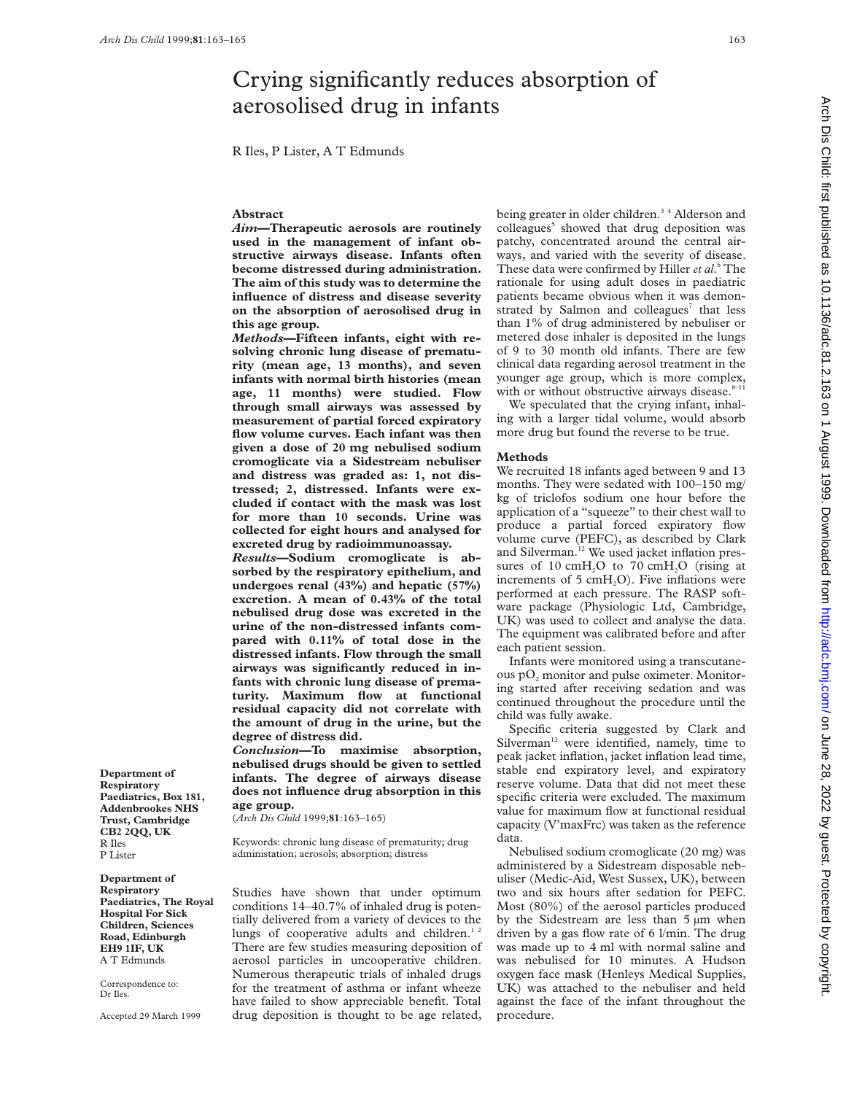# Crying significantly reduces absorption of aerosolised drug in infants

R Iles, P Lister, A T Edmunds

## **Abstract**

*Aim***—Therapeutic aerosols are routinely used in the management of infant obstructive airways disease. Infants often become distressed during administration. The aim of this study was to determine the influence of distress and disease severity on the absorption of aerosolised drug in this age group.**

*Methods***—Fifteen infants, eight with resolving chronic lung disease of prematurity (mean age, 13 months), and seven infants with normal birth histories (mean age, 11 months) were studied. Flow through small airways was assessed by measurement of partial forced expiratory flow volume curves. Each infant was then given a dose of 20 mg nebulised sodium cromoglicate via a Sidestream nebuliser and distress was graded as: 1, not distressed; 2, distressed. Infants were excluded if contact with the mask was lost for more than 10 seconds. Urine was collected for eight hours and analysed for excreted drug by radioimmunoassay.**

*Results***—Sodium cromoglicate is absorbed by the respiratory epithelium, and undergoes renal (43%) and hepatic (57%) excretion. A mean of 0.43% of the total nebulised drug dose was excreted in the urine of the non-distressed infants compared with 0.11% of total dose in the distressed infants. Flow through the small airways was significantly reduced in infants with chronic lung disease of prematurity. Maximum flow at functional residual capacity did not correlate with the amount of drug in the urine, but the degree of distress did.**

*Conclusion***—To maximise absorption, nebulised drugs should be given to settled infants. The degree of airways disease does not influence drug absorption in this age group.**

(*Arch Dis Child* 1999;**81**:163–165)

Keywords: chronic lung disease of prematurity; drug administation; aerosols; absorption; distress

Studies have shown that under optimum conditions 14–40.7% of inhaled drug is potentially delivered from a variety of devices to the lungs of cooperative adults and children.<sup>1</sup> There are few studies measuring deposition of aerosol particles in uncooperative children. Numerous therapeutic trials of inhaled drugs for the treatment of asthma or infant wheeze have failed to show appreciable benefit. Total drug deposition is thought to be age related,

being greater in older children.<sup>34</sup> Alderson and colleagues<sup>5</sup> showed that drug deposition was patchy, concentrated around the central airways, and varied with the severity of disease. These data were confirmed by Hiller *et al*. <sup>6</sup> The rationale for using adult doses in paediatric patients became obvious when it was demonstrated by Salmon and colleagues<sup>7</sup> that less than 1% of drug administered by nebuliser or metered dose inhaler is deposited in the lungs of 9 to 30 month old infants. There are few clinical data regarding aerosol treatment in the younger age group, which is more complex, with or without obstructive airways disease. $8-11$ 

We speculated that the crying infant, inhaling with a larger tidal volume, would absorb more drug but found the reverse to be true.

### **Methods**

We recruited 18 infants aged between 9 and 13 months. They were sedated with 100–150 mg/ kg of triclofos sodium one hour before the application of a "squeeze" to their chest wall to produce a partial forced expiratory flow volume curve (PEFC), as described by Clark and Silverman.<sup>12</sup> We used jacket inflation pressures of  $10 \text{ cm}H<sub>2</sub>O$  to  $70 \text{ cm}H<sub>2</sub>O$  (rising at increments of  $5 \text{ cmH}_2\text{O}$ . Five inflations were performed at each pressure. The RASP software package (Physiologic Ltd, Cambridge, UK) was used to collect and analyse the data. The equipment was calibrated before and after each patient session.

Infants were monitored using a transcutaneous pO<sub>2</sub> monitor and pulse oximeter. Monitoring started after receiving sedation and was continued throughout the procedure until the child was fully awake.

Specific criteria suggested by Clark and Silverman<sup>12</sup> were identified, namely, time to peak jacket inflation, jacket inflation lead time, stable end expiratory level, and expiratory reserve volume. Data that did not meet these specific criteria were excluded. The maximum value for maximum flow at functional residual capacity (V'maxFrc) was taken as the reference data.

Nebulised sodium cromoglicate (20 mg) was administered by a Sidestream disposable nebuliser (Medic-Aid, West Sussex, UK), between two and six hours after sedation for PEFC. Most (80%) of the aerosol particles produced by the Sidestream are less than 5 µm when driven by a gas flow rate of 6 l/min. The drug was made up to 4 ml with normal saline and was nebulised for 10 minutes. A Hudson oxygen face mask (Henleys Medical Supplies, UK) was attached to the nebuliser and held against the face of the infant throughout the procedure.

**Respiratory Paediatrics, Box 181, Addenbrookes NHS Trust, Cambridge CB2 2QQ, UK** R Iles P Lister

**Department of**

**Department of Respiratory Paediatrics, The Royal Hospital For Sick Children, Sciences Road, Edinburgh EH9 1IF, UK** A T Edmunds

Correspondence to: Dr Iles.

Accepted 29 March 1999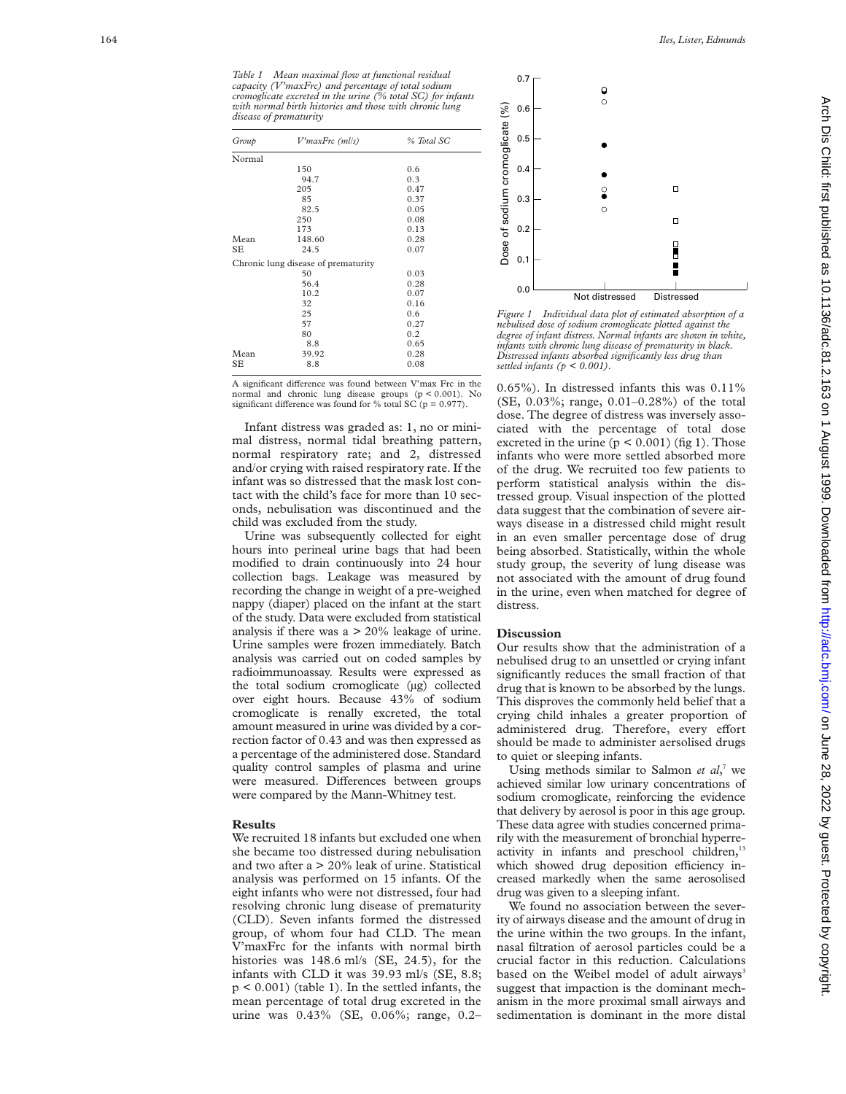*Table 1 Mean maximal flow at functional residual capacity (V'maxFrc) and percentage of total sodium cromoglicate excreted in the urine (% total SC) for infants with normal birth histories and those with chronic lung disease of prematurity*

| Group  | V'maxFrc (ml/s)                     | % Total SC |
|--------|-------------------------------------|------------|
| Normal |                                     |            |
|        | 150                                 | 0.6        |
|        | 94.7                                | 0.3        |
|        | 205                                 | 0.47       |
|        | 85                                  | 0.37       |
|        | 82.5                                | 0.05       |
|        | 250                                 | 0.08       |
|        | 173                                 | 0.13       |
| Mean   | 148.60                              | 0.28       |
| SЕ     | 24.5                                | 0.07       |
|        | Chronic lung disease of prematurity |            |
|        | 50                                  | 0.03       |
|        | 56.4                                | 0.28       |
|        | 10.2                                | 0.07       |
|        | 32                                  | 0.16       |
|        | 25                                  | 0.6        |
|        | 57                                  | 0.27       |
|        | 80                                  | 0.2        |
|        | 8.8                                 | 0.65       |
| Mean   | 39.92                               | 0.28       |
| SЕ     | 8.8                                 | 0.08       |
|        |                                     |            |

A significant difference was found between V'max Frc in the normal and chronic lung disease groups  $(p < 0.001)$ . No significant difference was found for % total SC  $(p = 0.977)$ .

Infant distress was graded as: 1, no or minimal distress, normal tidal breathing pattern, normal respiratory rate; and 2, distressed and/or crying with raised respiratory rate. If the infant was so distressed that the mask lost contact with the child's face for more than 10 seconds, nebulisation was discontinued and the child was excluded from the study.

Urine was subsequently collected for eight hours into perineal urine bags that had been modified to drain continuously into 24 hour collection bags. Leakage was measured by recording the change in weight of a pre-weighed nappy (diaper) placed on the infant at the start of the study. Data were excluded from statistical analysis if there was  $a > 20\%$  leakage of urine. Urine samples were frozen immediately. Batch analysis was carried out on coded samples by radioimmunoassay. Results were expressed as the total sodium cromoglicate (µg) collected over eight hours. Because 43% of sodium cromoglicate is renally excreted, the total amount measured in urine was divided by a correction factor of 0.43 and was then expressed as a percentage of the administered dose. Standard quality control samples of plasma and urine were measured. Differences between groups were compared by the Mann-Whitney test.

### **Results**

We recruited 18 infants but excluded one when she became too distressed during nebulisation and two after a > 20% leak of urine. Statistical analysis was performed on 15 infants. Of the eight infants who were not distressed, four had resolving chronic lung disease of prematurity (CLD). Seven infants formed the distressed group, of whom four had CLD. The mean V'maxFrc for the infants with normal birth histories was 148.6 ml/s (SE, 24.5), for the infants with CLD it was 39.93 ml/s (SE, 8.8; p < 0.001) (table 1). In the settled infants, the mean percentage of total drug excreted in the urine was 0.43% (SE, 0.06%; range, 0.2–



*Figure 1 Individual data plot of estimated absorption of a nebulised dose of sodium cromoglicate plotted against the degree of infant distress. Normal infants are shown in white, infants with chronic lung disease of prematurity in black. Distressed infants absorbed significantly less drug than settled infants (p < 0.001).*

0.65%). In distressed infants this was 0.11% (SE, 0.03%; range, 0.01–0.28%) of the total dose. The degree of distress was inversely associated with the percentage of total dose excreted in the urine  $(p < 0.001)$  (fig 1). Those infants who were more settled absorbed more of the drug. We recruited too few patients to perform statistical analysis within the distressed group. Visual inspection of the plotted data suggest that the combination of severe airways disease in a distressed child might result in an even smaller percentage dose of drug being absorbed. Statistically, within the whole study group, the severity of lung disease was not associated with the amount of drug found in the urine, even when matched for degree of distress.

#### **Discussion**

Our results show that the administration of a nebulised drug to an unsettled or crying infant significantly reduces the small fraction of that drug that is known to be absorbed by the lungs. This disproves the commonly held belief that a crying child inhales a greater proportion of administered drug. Therefore, every effort should be made to administer aersolised drugs to quiet or sleeping infants.

Using methods similar to Salmon *et al*, <sup>7</sup> we achieved similar low urinary concentrations of sodium cromoglicate, reinforcing the evidence that delivery by aerosol is poor in this age group. These data agree with studies concerned primarily with the measurement of bronchial hyperreactivity in infants and preschool children,<sup>13</sup> which showed drug deposition efficiency increased markedly when the same aerosolised drug was given to a sleeping infant.

We found no association between the severity of airways disease and the amount of drug in the urine within the two groups. In the infant, nasal filtration of aerosol particles could be a crucial factor in this reduction. Calculations based on the Weibel model of adult airways<sup>3</sup> suggest that impaction is the dominant mechanism in the more proximal small airways and sedimentation is dominant in the more distal